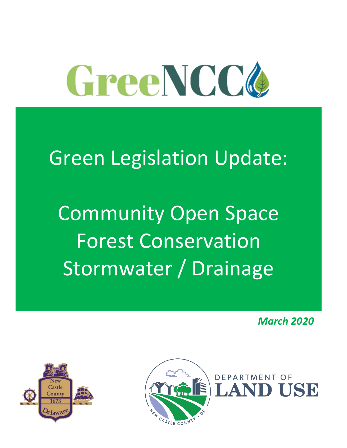

# Green Legislation Update:

Community Open Space Forest Conservation Stormwater / Drainage

*March 2020*

**DUSE** 



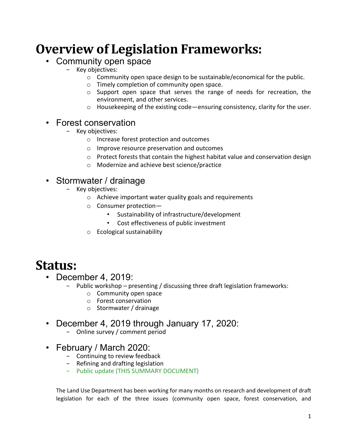## **Overview of Legislation Frameworks:**

## • Community open space

- − Key objectives:
	- $\circ$  Community open space design to be sustainable/economical for the public.
	- o Timely completion of community open space.
	- $\circ$  Support open space that serves the range of needs for recreation, the environment, and other services.
	- $\circ$  Housekeeping of the existing code—ensuring consistency, clarity for the user.

## • Forest conservation

- − Key objectives:
	- o Increase forest protection and outcomes
	- o Improve resource preservation and outcomes
	- o Protect forests that contain the highest habitat value and conservation design
	- o Modernize and achieve best science/practice

## • Stormwater / drainage

- − Key objectives:
	- o Achieve important water quality goals and requirements
	- o Consumer protection—
		- Sustainability of infrastructure/development
		- Cost effectiveness of public investment
	- o Ecological sustainability

## **Status:**

- December 4, 2019:
	- Public workshop presenting / discussing three draft legislation frameworks:
		- o Community open space
		- o Forest conservation
		- o Stormwater / drainage
- December 4, 2019 through January 17, 2020:
	- − Online survey / comment period
- February / March 2020:
	- − Continuing to review feedback
	- − Refining and drafting legislation
	- − Public update (THIS SUMMARY DOCUMENT)

The Land Use Department has been working for many months on research and development of draft legislation for each of the three issues (community open space, forest conservation, and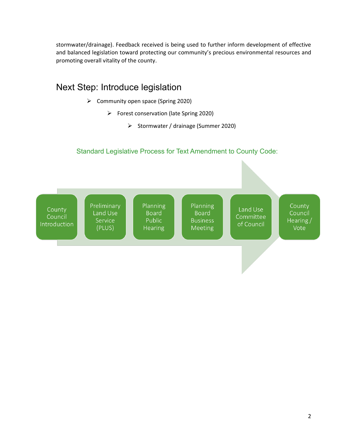stormwater/drainage). Feedback received is being used to further inform development of effective and balanced legislation toward protecting our community's precious environmental resources and promoting overall vitality of the county.

## Next Step: Introduce legislation ➢ Community open space (Spring 2020)

- ➢ Forest conservation (late Spring 2020)
	- ➢ Stormwater / drainage (Summer 2020)

### Standard Legislative Process for Text Amendment to County Code:

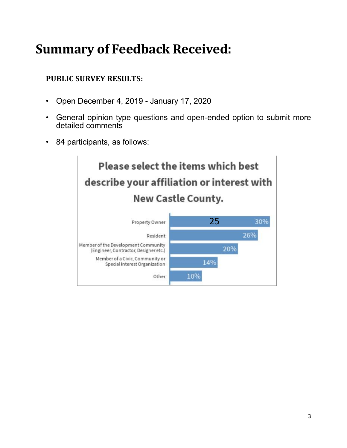## **Summary of Feedback Received:**

## **PUBLIC SURVEY RESULTS:**

- Open December 4, 2019 January 17, 2020
- General opinion type questions and open-ended option to submit more detailed comments
- 84 participants, as follows:

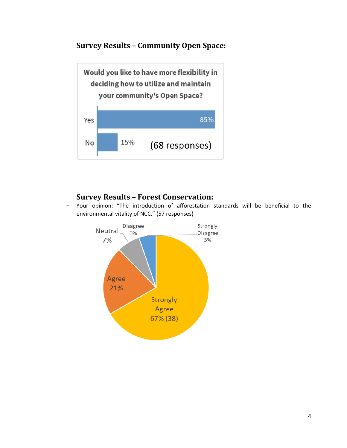**Survey Results – Community Open Space:**



## **Survey Results – Forest Conservation:**

Your opinion: "The introduction of afforestation standards will be beneficial to the environmental vitality of NCC." (57 responses)

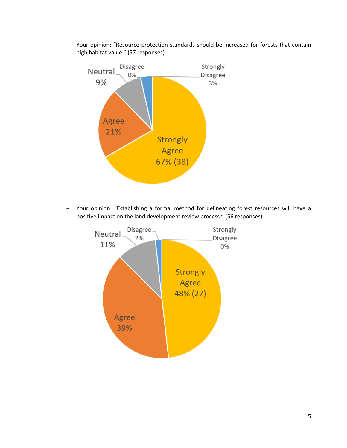− Your opinion: "Resource protection standards should be increased for forests that contain high habitat value." (57 responses)



Your opinion: "Establishing a formal method for delineating forest resources will have a positive impact on the land development review process." (56 responses)

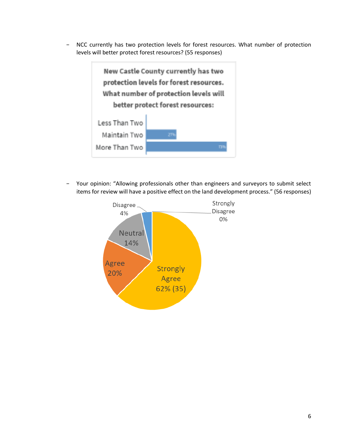− NCC currently has two protection levels for forest resources. What number of protection levels will better protect forest resources? (55 responses)



Your opinion: "Allowing professionals other than engineers and surveyors to submit select items for review will have a positive effect on the land development process." (56 responses)

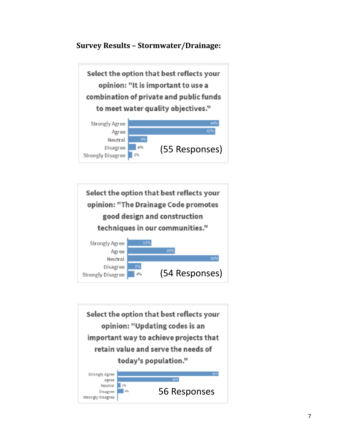## **Survey Results – Stormwater/Drainage:**





Select the option that best reflects your opinion: "Updating codes is an important way to achieve projects that retain value and serve the needs of today's population."

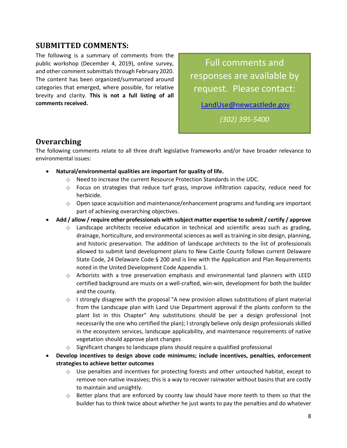### **SUBMITTED COMMENTS:**

The following is a summary of comments from the public workshop (December 4, 2019), online survey, and other comment submittals through February 2020. The content has been organized/summarized around categories that emerged, where possible, for relative brevity and clarity. **This is not a full listing of all comments received.**

Full comments and responses are available by request. Please contact:

[LandUse@newcastlede.gov](mailto:LandUse@newcastlede.gov)

*(302) 395-5400*

### **Overarching**

The following comments relate to all three draft legislative frameworks and/or have broader relevance to environmental issues:

- **Natural/environmental qualities are important for quality of life.**
	- o Need to increase the current Resource Protection Standards in the UDC.
	- $\circ$  Focus on strategies that reduce turf grass, improve infiltration capacity, reduce need for herbicide.
	- $\circ$  Open space acquisition and maintenance/enhancement programs and funding are important part of achieving overarching objectives.
- **Add / allow / require other professionals with subject matter expertise to submit / certify / approve**
	- $\circ$  Landscape architects receive education in technical and scientific areas such as grading, drainage, horticulture, and environmental sciences as well as training in site design, planning, and historic preservation. The addition of landscape architects to the list of professionals allowed to submit land development plans to New Castle County follows current Delaware State Code, 24 Delaware Code § 200 and is line with the Application and Plan Requirements noted in the United Development Code Appendix 1.
	- o Arborists with a tree preservation emphasis and environmental land planners with LEED certified background are musts on a well-crafted, win-win, development for both the builder and the county.
	- $\circ$  I strongly disagree with the proposal "A new provision allows substitutions of plant material from the Landscape plan with Land Use Department approval if the plants conform to the plant list in this Chapter" Any substitutions should be per a design professional (not necessarily the one who certified the plan); I strongly believe only design professionals skilled in the ecosystem services, landscape applicability, and maintenance requirements of native vegetation should approve plant changes
	- $\circ$  Significant changes to landscape plans should require a qualified professional
- **Develop incentives to design above code minimums; include incentives, penalties, enforcement strategies to achieve better outcomes**
	- $\circ$  Use penalties and incentives for protecting forests and other untouched habitat, except to remove non-native invasives; this is a way to recover rainwater without basins that are costly to maintain and unsightly.
	- $\circ$  Better plans that are enforced by county law should have more teeth to them so that the builder has to think twice about whether he just wants to pay the penalties and do whatever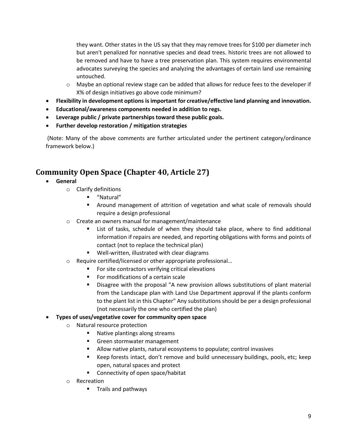they want. Other states in the US say that they may remove trees for \$100 per diameter inch but aren't penalized for nonnative species and dead trees. historic trees are not allowed to be removed and have to have a tree preservation plan. This system requires environmental advocates surveying the species and analyzing the advantages of certain land use remaining untouched.

- $\circ$  Maybe an optional review stage can be added that allows for reduce fees to the developer if X% of design initiatives go above code minimum?
- **Flexibility in development options is important for creative/effective land planning and innovation.**
- **Educational/awareness components needed in addition to regs.**
- **Leverage public / private partnerships toward these public goals.**
- **Further develop restoration / mitigation strategies**

(Note: Many of the above comments are further articulated under the pertinent category/ordinance framework below.)

## **Community Open Space (Chapter 40, Article 27)**

- **General**
	- o Clarify definitions
		- "Natural"
		- Around management of attrition of vegetation and what scale of removals should require a design professional
	- o Create an owners manual for management/maintenance
		- List of tasks, schedule of when they should take place, where to find additional information if repairs are needed, and reporting obligations with forms and points of contact (not to replace the technical plan)
		- Well-written, illustrated with clear diagrams
	- o Require certified/licensed or other appropriate professional…
		- For site contractors verifying critical elevations
		- For modifications of a certain scale
		- Disagree with the proposal "A new provision allows substitutions of plant material from the Landscape plan with Land Use Department approval if the plants conform to the plant list in this Chapter" Any substitutions should be per a design professional (not necessarily the one who certified the plan)

#### • **Types of uses/vegetative cover for community open space**

- o Natural resource protection
	- Native plantings along streams
	- Green stormwater management
	- Allow native plants, natural ecosystems to populate; control invasives
	- Keep forests intact, don't remove and build unnecessary buildings, pools, etc; keep open, natural spaces and protect
	- Connectivity of open space/habitat
- o Recreation
	- Trails and pathways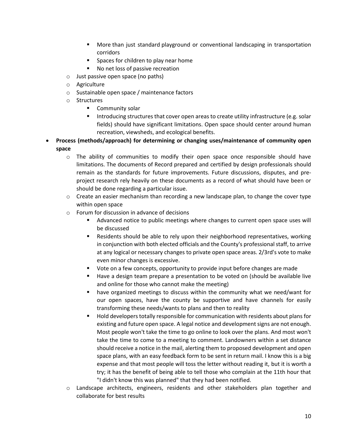- More than just standard playground or conventional landscaping in transportation corridors
- Spaces for children to play near home
- No net loss of passive recreation
- o Just passive open space (no paths)
- o Agriculture
- o Sustainable open space / maintenance factors
- o Structures
	- Community solar
	- Introducing structures that cover open areas to create utility infrastructure (e.g. solar fields) should have significant limitations. Open space should center around human recreation, viewsheds, and ecological benefits.
- **Process (methods/approach) for determining or changing uses/maintenance of community open space**
	- $\circ$  The ability of communities to modify their open space once responsible should have limitations. The documents of Record prepared and certified by design professionals should remain as the standards for future improvements. Future discussions, disputes, and preproject research rely heavily on these documents as a record of what should have been or should be done regarding a particular issue.
	- $\circ$  Create an easier mechanism than recording a new landscape plan, to change the cover type within open space
	- o Forum for discussion in advance of decisions
		- Advanced notice to public meetings where changes to current open space uses will be discussed
		- Residents should be able to rely upon their neighborhood representatives, working in conjunction with both elected officials and the County's professional staff, to arrive at any logical or necessary changes to private open space areas. 2/3rd's vote to make even minor changes is excessive.
		- Vote on a few concepts, opportunity to provide input before changes are made
		- Have a design team prepare a presentation to be voted on (should be available live and online for those who cannot make the meeting)
		- have organized meetings to discuss within the community what we need/want for our open spaces, have the county be supportive and have channels for easily transforming these needs/wants to plans and then to reality
		- Hold developers totally responsible for communication with residents about plans for existing and future open space. A legal notice and development signs are not enough. Most people won't take the time to go online to look over the plans. And most won't take the time to come to a meeting to comment. Landowners within a set distance should receive a notice in the mail, alerting them to proposed development and open space plans, with an easy feedback form to be sent in return mail. I know this is a big expense and that most people will toss the letter without reading it, but it is worth a try; it has the benefit of being able to tell those who complain at the 11th hour that "I didn't know this was planned" that they had been notified.
	- o Landscape architects, engineers, residents and other stakeholders plan together and collaborate for best results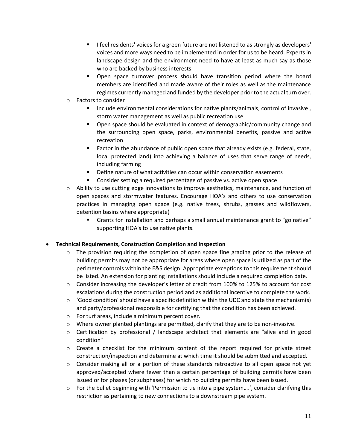- I feel residents' voices for a green future are not listened to as strongly as developers' voices and more ways need to be implemented in order for us to be heard. Experts in landscape design and the environment need to have at least as much say as those who are backed by business interests.
- Open space turnover process should have transition period where the board members are identified and made aware of their roles as well as the maintenance regimes currently managed and funded by the developer prior to the actual turn over.
- o Factors to consider
	- Include environmental considerations for native plants/animals, control of invasive, storm water management as well as public recreation use
	- **•** Open space should be evaluated in context of demographic/community change and the surrounding open space, parks, environmental benefits, passive and active recreation
	- Factor in the abundance of public open space that already exists (e.g. federal, state, local protected land) into achieving a balance of uses that serve range of needs, including farming
	- Define nature of what activities can occur within conservation easements
	- Consider setting a required percentage of passive vs. active open space
- $\circ$  Ability to use cutting edge innovations to improve aesthetics, maintenance, and function of open spaces and stormwater features. Encourage HOA's and others to use conservation practices in managing open space (e.g. native trees, shrubs, grasses and wildflowers, detention basins where appropriate)
	- Grants for installation and perhaps a small annual maintenance grant to "go native" supporting HOA's to use native plants.

#### • **Technical Requirements, Construction Completion and Inspection**

- $\circ$  The provision requiring the completion of open space fine grading prior to the release of building permits may not be appropriate for areas where open space is utilized as part of the perimeter controls within the E&S design. Appropriate exceptions to this requirement should be listed. An extension for planting installations should include a required completion date.
- o Consider increasing the developer's letter of credit from 100% to 125% to account for cost escalations during the construction period and as additional incentive to complete the work.
- $\circ$  'Good condition' should have a specific definition within the UDC and state the mechanism(s) and party/professional responsible for certifying that the condition has been achieved.
- o For turf areas, include a minimum percent cover.
- o Where owner planted plantings are permitted, clarify that they are to be non-invasive.
- $\circ$  Certification by professional / landscape architect that elements are "alive and in good condition"
- $\circ$  Create a checklist for the minimum content of the report required for private street construction/inspection and determine at which time it should be submitted and accepted.
- o Consider making all or a portion of these standards retroactive to all open space not yet approved/accepted where fewer than a certain percentage of building permits have been issued or for phases (or subphases) for which no building permits have been issued.
- $\circ$  For the bullet beginning with 'Permission to tie into a pipe system....', consider clarifying this restriction as pertaining to new connections to a downstream pipe system.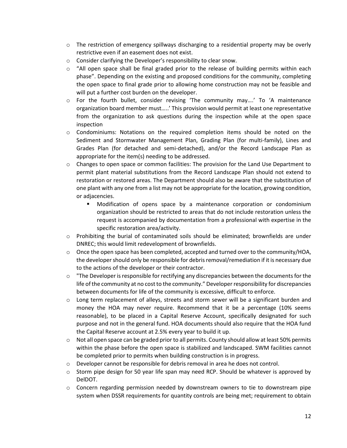- $\circ$  The restriction of emergency spillways discharging to a residential property may be overly restrictive even if an easement does not exist.
- o Consider clarifying the Developer's responsibility to clear snow.
- $\circ$  "All open space shall be final graded prior to the release of building permits within each phase". Depending on the existing and proposed conditions for the community, completing the open space to final grade prior to allowing home construction may not be feasible and will put a further cost burden on the developer.
- $\circ$  For the fourth bullet, consider revising 'The community may....' To 'A maintenance organization board member must…..' This provision would permit at least one representative from the organization to ask questions during the inspection while at the open space inspection
- o Condominiums: Notations on the required completion items should be noted on the Sediment and Stormwater Management Plan, Grading Plan (for multi-family), Lines and Grades Plan (for detached and semi-detached), and/or the Record Landscape Plan as appropriate for the item(s) needing to be addressed.
- o Changes to open space or common facilities: The provision for the Land Use Department to permit plant material substitutions from the Record Landscape Plan should not extend to restoration or restored areas. The Department should also be aware that the substitution of one plant with any one from a list may not be appropriate for the location, growing condition, or adjacencies.
	- Modification of opens space by a maintenance corporation or condominium organization should be restricted to areas that do not include restoration unless the request is accompanied by documentation from a professional with expertise in the specific restoration area/activity.
- o Prohibiting the burial of contaminated soils should be eliminated; brownfields are under DNREC; this would limit redevelopment of brownfields.
- $\circ$  Once the open space has been completed, accepted and turned over to the community/HOA, the developer should only be responsible for debris removal/remediation if it is necessary due to the actions of the developer or their contractor.
- $\circ$  "The Developer is responsible for rectifying any discrepancies between the documents for the life of the community at no cost to the community." Developer responsibility for discrepancies between documents for life of the community is excessive, difficult to enforce.
- $\circ$  Long term replacement of alleys, streets and storm sewer will be a significant burden and money the HOA may never require. Recommend that it be a percentage (10% seems reasonable), to be placed in a Capital Reserve Account, specifically designated for such purpose and not in the general fund. HOA documents should also require that the HOA fund the Capital Reserve account at 2.5% every year to build it up.
- $\circ$  Not all open space can be graded prior to all permits. County should allow at least 50% permits within the phase before the open space is stabilized and landscaped. SWM facilities cannot be completed prior to permits when building construction is in progress.
- o Developer cannot be responsible for debris removal in area he does not control.
- $\circ$  Storm pipe design for 50 year life span may need RCP. Should be whatever is approved by DelDOT.
- $\circ$  Concern regarding permission needed by downstream owners to tie to downstream pipe system when DSSR requirements for quantity controls are being met; requirement to obtain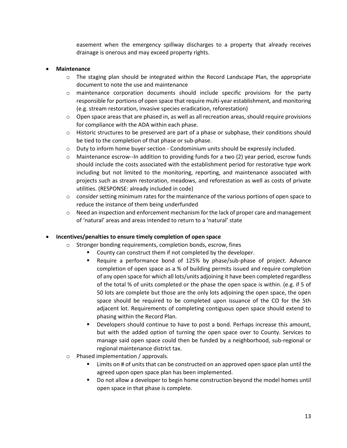easement when the emergency spillway discharges to a property that already receives drainage is onerous and may exceed property rights.

#### • **Maintenance**

- $\circ$  The staging plan should be integrated within the Record Landscape Plan, the appropriate document to note the use and maintenance
- o maintenance corporation documents should include specific provisions for the party responsible for portions of open space that require multi-year establishment, and monitoring (e.g. stream restoration, invasive species eradication, reforestation)
- $\circ$  Open space areas that are phased in, as well as all recreation areas, should require provisions for compliance with the ADA within each phase.
- $\circ$  Historic structures to be preserved are part of a phase or subphase, their conditions should be tied to the completion of that phase or sub-phase.
- $\circ$  Duty to inform home buyer section Condominium units should be expressly included.
- $\circ$  Maintenance escrow--In addition to providing funds for a two (2) year period, escrow funds should include the costs associated with the establishment period for restorative type work including but not limited to the monitoring, reporting, and maintenance associated with projects such as stream restoration, meadows, and reforestation as well as costs of private utilities. (RESPONSE: already included in code)
- $\circ$  consider setting minimum rates for the maintenance of the various portions of open space to reduce the instance of them being underfunded
- $\circ$  Need an inspection and enforcement mechanism for the lack of proper care and management of 'natural' areas and areas intended to return to a 'natural' state

#### • **Incentives/penalties to ensure timely completion of open space**

- o Stronger bonding requirements, completion bonds, escrow, fines
	- County can construct them if not completed by the developer.
		- Require a performance bond of 125% by phase/sub-phase of project. Advance completion of open space as a % of building permits issued and require completion of any open space for which all lots/units adjoining it have been completed regardless of the total % of units completed or the phase the open space is within. (e.g. if 5 of 50 lots are complete but those are the only lots adjoining the open space, the open space should be required to be completed upon issuance of the CO for the 5th adjacent lot. Requirements of completing contiguous open space should extend to phasing within the Record Plan.
		- **EXE** Developers should continue to have to post a bond. Perhaps increase this amount, but with the added option of turning the open space over to County. Services to manage said open space could then be funded by a neighborhood, sub-regional or regional maintenance district tax.
- Phased implementation / approvals.
	- Limits on # of units that can be constructed on an approved open space plan until the agreed upon open space plan has been implemented.
	- Do not allow a developer to begin home construction beyond the model homes until open space in that phase is complete.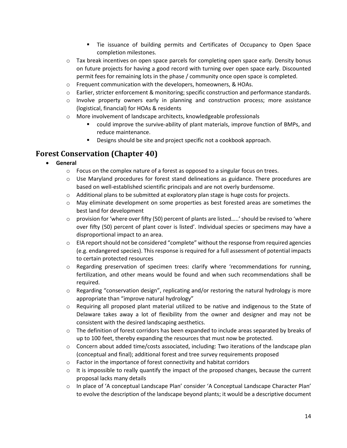- Tie issuance of building permits and Certificates of Occupancy to Open Space completion milestones.
- $\circ$  Tax break incentives on open space parcels for completing open space early. Density bonus on future projects for having a good record with turning over open space early. Discounted permit fees for remaining lots in the phase / community once open space is completed.
- o Frequent communication with the developers, homeowners, & HOAs.
- o Earlier, stricter enforcement & monitoring; specific construction and performance standards.
- $\circ$  Involve property owners early in planning and construction process; more assistance (logistical, financial) for HOAs & residents
- o More involvement of landscape architects, knowledgeable professionals
	- could improve the survive-ability of plant materials, improve function of BMPs, and reduce maintenance.
	- Designs should be site and project specific not a cookbook approach.

## **Forest Conservation (Chapter 40)**

- **General**
	- $\circ$  Focus on the complex nature of a forest as opposed to a singular focus on trees.
	- $\circ$  Use Maryland procedures for forest stand delineations as guidance. There procedures are based on well-established scientific principals and are not overly burdensome.
	- o Additional plans to be submitted at exploratory plan stage is huge costs for projects.
	- o May eliminate development on some properties as best forested areas are sometimes the best land for development
	- $\circ$  provision for 'where over fifty (50) percent of plants are listed.....' should be revised to 'where over fifty (50) percent of plant cover is listed'. Individual species or specimens may have a disproportional impact to an area.
	- $\circ$  EIA report should not be considered "complete" without the response from required agencies (e.g. endangered species). This response is required for a full assessment of potential impacts to certain protected resources
	- o Regarding preservation of specimen trees: clarify where 'recommendations for running, fertilization, and other means would be found and when such recommendations shall be required.
	- $\circ$  Regarding "conservation design", replicating and/or restoring the natural hydrology is more appropriate than "improve natural hydrology"
	- o Requiring all proposed plant material utilized to be native and indigenous to the State of Delaware takes away a lot of flexibility from the owner and designer and may not be consistent with the desired landscaping aesthetics.
	- $\circ$  The definition of forest corridors has been expanded to include areas separated by breaks of up to 100 feet, thereby expanding the resources that must now be protected.
	- $\circ$  Concern about added time/costs associated, including: Two iterations of the landscape plan (conceptual and final); additional forest and tree survey requirements proposed
	- $\circ$  Factor in the importance of forest connectivity and habitat corridors
	- $\circ$  It is impossible to really quantify the impact of the proposed changes, because the current proposal lacks many details
	- o In place of 'A conceptual Landscape Plan' consider 'A Conceptual Landscape Character Plan' to evolve the description of the landscape beyond plants; it would be a descriptive document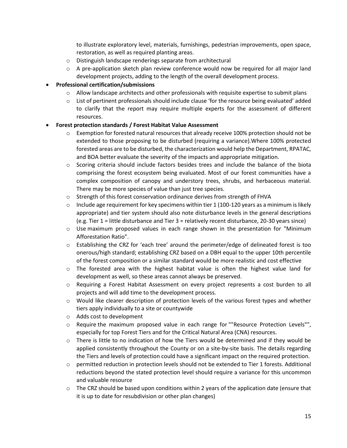to illustrate exploratory level, materials, furnishings, pedestrian improvements, open space, restoration, as well as required planting areas.

- o Distinguish landscape renderings separate from architectural
- $\circ$  A pre-application sketch plan review conference would now be required for all major land development projects, adding to the length of the overall development process.

#### • **Professional certification/submissions**

- $\circ$  Allow landscape architects and other professionals with requisite expertise to submit plans
- $\circ$  List of pertinent professionals should include clause 'for the resource being evaluated' added to clarify that the report may require multiple experts for the assessment of different resources.

#### • **Forest protection standards / Forest Habitat Value Assessment**

- $\circ$  Exemption for forested natural resources that already receive 100% protection should not be extended to those proposing to be disturbed (requiring a variance).Where 100% protected forested areas are to be disturbed, the characterization would help the Department, RPATAC, and BOA better evaluate the severity of the impacts and appropriate mitigation.
- $\circ$  Scoring criteria should include factors besides trees and include the balance of the biota comprising the forest ecosystem being evaluated. Most of our forest communities have a complex composition of canopy and understory trees, shrubs, and herbaceous material. There may be more species of value than just tree species.
- o Strength of this forest conservation ordinance derives from strength of FHVA
- $\circ$  Include age requirement for key specimens within tier 1 (100-120 years as a minimum is likely appropriate) and tier system should also note disturbance levels in the general descriptions (e.g. Tier 1 = little disturbance and Tier 3 = relatively recent disturbance, 20-30 years since)
- $\circ$  Use maximum proposed values in each range shown in the presentation for "Minimum Afforestation Ratio".
- o Establishing the CRZ for 'each tree' around the perimeter/edge of delineated forest is too onerous/high standard; establishing CRZ based on a DBH equal to the upper 10th percentile of the forest composition or a similar standard would be more realistic and cost effective
- $\circ$  The forested area with the highest habitat value is often the highest value land for development as well, so these areas cannot always be preserved.
- o Requiring a Forest Habitat Assessment on every project represents a cost burden to all projects and will add time to the development process.
- $\circ$  Would like clearer description of protection levels of the various forest types and whether tiers apply individually to a site or countywide
- o Adds cost to development
- o Require the maximum proposed value in each range for ""Resource Protection Levels"", especially for top Forest Tiers and for the Critical Natural Area (CNA) resources.
- $\circ$  There is little to no indication of how the Tiers would be determined and if they would be applied consistently throughout the County or on a site-by-site basis. The details regarding the Tiers and levels of protection could have a significant impact on the required protection.
- $\circ$  permitted reduction in protection levels should not be extended to Tier 1 forests. Additional reductions beyond the stated protection level should require a variance for this uncommon and valuable resource
- $\circ$  The CRZ should be based upon conditions within 2 years of the application date (ensure that it is up to date for resubdivision or other plan changes)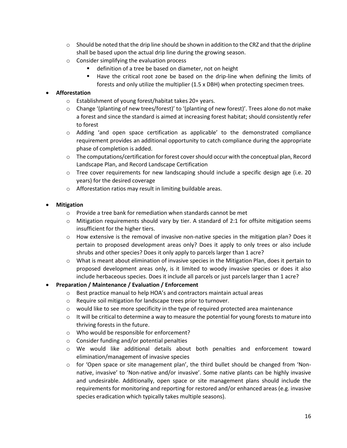- $\circ$  Should be noted that the drip line should be shown in addition to the CRZ and that the dripline shall be based upon the actual drip line during the growing season.
- o Consider simplifying the evaluation process
	- definition of a tree be based on diameter, not on height
	- Have the critical root zone be based on the drip-line when defining the limits of forests and only utilize the multiplier (1.5 x DBH) when protecting specimen trees.

#### • **Afforestation**

- o Establishment of young forest/habitat takes 20+ years.
- o Change '(planting of new trees/forest)' to '(planting of new forest)'. Trees alone do not make a forest and since the standard is aimed at increasing forest habitat; should consistently refer to forest
- $\circ$  Adding 'and open space certification as applicable' to the demonstrated compliance requirement provides an additional opportunity to catch compliance during the appropriate phase of completion is added.
- $\circ$  The computations/certification for forest cover should occur with the conceptual plan, Record Landscape Plan, and Record Landscape Certification
- $\circ$  Tree cover requirements for new landscaping should include a specific design age (i.e. 20 years) for the desired coverage
- o Afforestation ratios may result in limiting buildable areas.

#### • **Mitigation**

- o Provide a tree bank for remediation when standards cannot be met
- $\circ$  Mitigation requirements should vary by tier. A standard of 2:1 for offsite mitigation seems insufficient for the higher tiers.
- $\circ$  How extensive is the removal of invasive non-native species in the mitigation plan? Does it pertain to proposed development areas only? Does it apply to only trees or also include shrubs and other species? Does it only apply to parcels larger than 1 acre?
- o What is meant about elimination of invasive species in the Mitigation Plan, does it pertain to proposed development areas only, is it limited to woody invasive species or does it also include herbaceous species. Does it include all parcels or just parcels larger than 1 acre?

#### • **Preparation / Maintenance / Evaluation / Enforcement**

- o Best practice manual to help HOA's and contractors maintain actual areas
- o Require soil mitigation for landscape trees prior to turnover.
- $\circ$  would like to see more specificity in the type of required protected area maintenance
- $\circ$  It will be critical to determine a way to measure the potential for young forests to mature into thriving forests in the future.
- o Who would be responsible for enforcement?
- o Consider funding and/or potential penalties
- o We would like additional details about both penalties and enforcement toward elimination/management of invasive species
- $\circ$  for 'Open space or site management plan', the third bullet should be changed from 'Nonnative, invasive' to 'Non-native and/or invasive'. Some native plants can be highly invasive and undesirable. Additionally, open space or site management plans should include the requirements for monitoring and reporting for restored and/or enhanced areas (e.g. invasive species eradication which typically takes multiple seasons).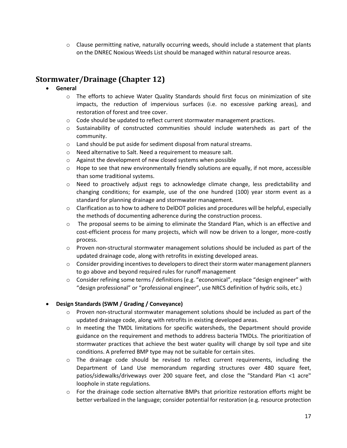$\circ$  Clause permitting native, naturally occurring weeds, should include a statement that plants on the DNREC Noxious Weeds List should be managed within natural resource areas.

## **Stormwater/Drainage (Chapter 12)**

- **General**
	- o The efforts to achieve Water Quality Standards should first focus on minimization of site impacts, the reduction of impervious surfaces (i.e. no excessive parking areas), and restoration of forest and tree cover.
	- $\circ$  Code should be updated to reflect current stormwater management practices.
	- $\circ$  Sustainability of constructed communities should include watersheds as part of the community.
	- $\circ$  Land should be put aside for sediment disposal from natural streams.
	- o Need alternative to Salt. Need a requirement to measure salt.
	- o Against the development of new closed systems when possible
	- $\circ$  Hope to see that new environmentally friendly solutions are equally, if not more, accessible than some traditional systems.
	- o Need to proactively adjust regs to acknowledge climate change, less predictability and changing conditions; for example, use of the one hundred (100) year storm event as a standard for planning drainage and stormwater management.
	- o Clarification as to how to adhere to DelDOT policies and procedures will be helpful, especially the methods of documenting adherence during the construction process.
	- $\circ$  The proposal seems to be aiming to eliminate the Standard Plan, which is an effective and cost-efficient process for many projects, which will now be driven to a longer, more-costly process.
	- $\circ$  Proven non-structural stormwater management solutions should be included as part of the updated drainage code, along with retrofits in existing developed areas.
	- $\circ$  Consider providing incentives to developers to direct their storm water management planners to go above and beyond required rules for runoff management
	- $\circ$  Consider refining some terms / definitions (e.g. "economical", replace "design engineer" with "design professional" or "professional engineer", use NRCS definition of hydric soils, etc.)

#### • **Design Standards (SWM / Grading / Conveyance)**

- $\circ$  Proven non-structural stormwater management solutions should be included as part of the updated drainage code, along with retrofits in existing developed areas.
- $\circ$  In meeting the TMDL limitations for specific watersheds, the Department should provide guidance on the requirement and methods to address bacteria TMDLs. The prioritization of stormwater practices that achieve the best water quality will change by soil type and site conditions. A preferred BMP type may not be suitable for certain sites.
- $\circ$  The drainage code should be revised to reflect current requirements, including the Department of Land Use memorandum regarding structures over 480 square feet, patios/sidewalks/driveways over 200 square feet, and close the "Standard Plan <1 acre" loophole in state regulations.
- $\circ$  For the drainage code section alternative BMPs that prioritize restoration efforts might be better verbalized in the language; consider potential for restoration (e.g. resource protection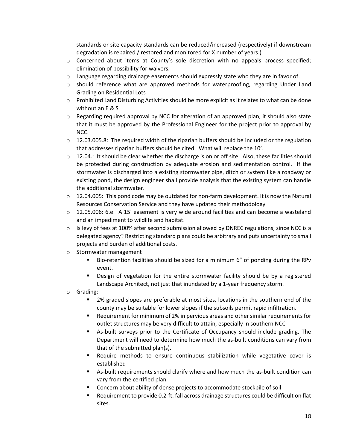standards or site capacity standards can be reduced/increased (respectively) if downstream degradation is repaired / restored and monitored for X number of years.)

- $\circ$  Concerned about items at County's sole discretion with no appeals process specified; elimination of possibility for waivers.
- $\circ$  Language regarding drainage easements should expressly state who they are in favor of.
- $\circ$  should reference what are approved methods for waterproofing, regarding Under Land Grading on Residential Lots
- $\circ$  Prohibited Land Disturbing Activities should be more explicit as it relates to what can be done without an E & S
- $\circ$  Regarding required approval by NCC for alteration of an approved plan, it should also state that it must be approved by the Professional Engineer for the project prior to approval by NCC.
- $\circ$  12.03.005.8: The required width of the riparian buffers should be included or the regulation that addresses riparian buffers should be cited. What will replace the 10'.
- $\circ$  12.04.: It should be clear whether the discharge is on or off site. Also, these facilities should be protected during construction by adequate erosion and sedimentation control. If the stormwater is discharged into a existing stormwater pipe, ditch or system like a roadway or existing pond, the design engineer shall provide analysis that the existing system can handle the additional stormwater.
- $\circ$  12.04.005: This pond code may be outdated for non-farm development. It is now the Natural Resources Conservation Service and they have updated their methodology
- o 12.05.006: 6.e: A 15' easement is very wide around facilities and can become a wasteland and an impediment to wildlife and habitat.
- $\circ$  Is levy of fees at 100% after second submission allowed by DNREC regulations, since NCC is a delegated agency? Restricting standard plans could be arbitrary and puts uncertainty to small projects and burden of additional costs.
- o Stormwater management
	- Bio-retention facilities should be sized for a minimum 6" of ponding during the RPv event.
	- Design of vegetation for the entire stormwater facility should be by a registered Landscape Architect, not just that inundated by a 1-year frequency storm.
- o Grading:
	- 2% graded slopes are preferable at most sites, locations in the southern end of the county may be suitable for lower slopes if the subsoils permit rapid infiltration.
	- Requirement for minimum of 2% in pervious areas and other similar requirements for outlet structures may be very difficult to attain, especially in southern NCC
	- As-built surveys prior to the Certificate of Occupancy should include grading. The Department will need to determine how much the as-built conditions can vary from that of the submitted plan(s).
	- Require methods to ensure continuous stabilization while vegetative cover is established
	- As-built requirements should clarify where and how much the as-built condition can vary from the certified plan.
	- Concern about ability of dense projects to accommodate stockpile of soil
	- Requirement to provide 0.2-ft. fall across drainage structures could be difficult on flat sites.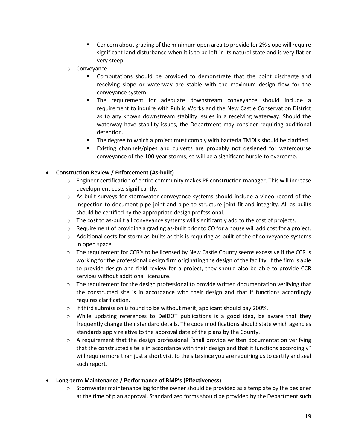- Concern about grading of the minimum open area to provide for 2% slope will require significant land disturbance when it is to be left in its natural state and is very flat or very steep.
- o Conveyance
	- Computations should be provided to demonstrate that the point discharge and receiving slope or waterway are stable with the maximum design flow for the conveyance system.
	- The requirement for adequate downstream conveyance should include a requirement to inquire with Public Works and the New Castle Conservation District as to any known downstream stability issues in a receiving waterway. Should the waterway have stability issues, the Department may consider requiring additional detention.
	- The degree to which a project must comply with bacteria TMDLs should be clarified
	- Existing channels/pipes and culverts are probably not designed for watercourse conveyance of the 100-year storms, so will be a significant hurdle to overcome.

#### • **Construction Review / Enforcement (As-built)**

- $\circ$  Engineer certification of entire community makes PE construction manager. This will increase development costs significantly.
- $\circ$  As-built surveys for stormwater conveyance systems should include a video record of the inspection to document pipe joint and pipe to structure joint fit and integrity. All as-builts should be certified by the appropriate design professional.
- $\circ$  The cost to as-built all conveyance systems will significantly add to the cost of projects.
- $\circ$  Requirement of providing a grading as-built prior to CO for a house will add cost for a project.
- o Additional costs for storm as-builts as this is requiring as-built of the of conveyance systems in open space.
- o The requirement for CCR's to be licensed by New Castle County seems excessive if the CCR is working for the professional design firm originating the design of the facility. If the firm is able to provide design and field review for a project, they should also be able to provide CCR services without additional licensure.
- $\circ$  The requirement for the design professional to provide written documentation verifying that the constructed site is in accordance with their design and that if functions accordingly requires clarification.
- o If third submission is found to be without merit, applicant should pay 200%.
- $\circ$  While updating references to DelDOT publications is a good idea, be aware that they frequently change their standard details. The code modifications should state which agencies standards apply relative to the approval date of the plans by the County.
- $\circ$  A requirement that the design professional "shall provide written documentation verifying that the constructed site is in accordance with their design and that it functions accordingly" will require more than just a short visit to the site since you are requiring us to certify and seal such report.
- **Long-term Maintenance / Performance of BMP's (Effectiveness)**
	- $\circ$  Stormwater maintenance log for the owner should be provided as a template by the designer at the time of plan approval. Standardized forms should be provided by the Department such